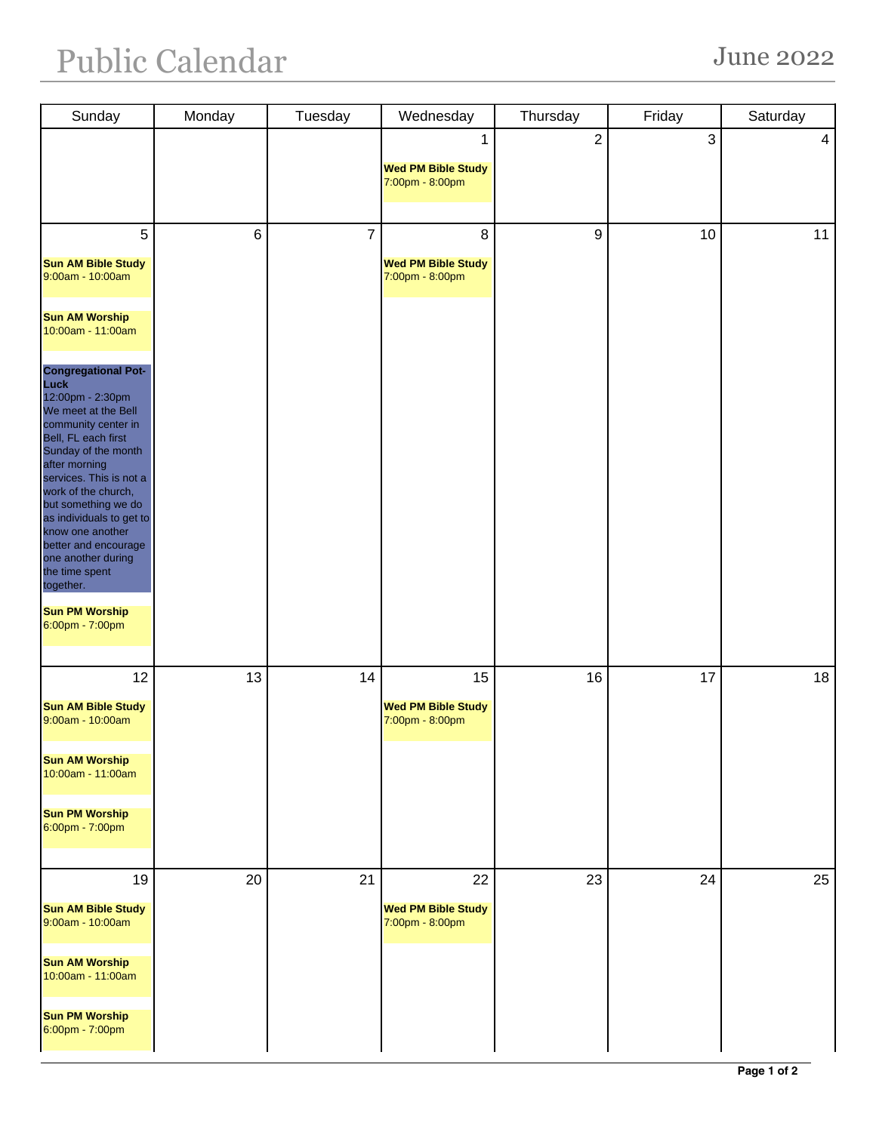| Sunday                                                                                                                                                                                                                                                                                                                                                                                                                | Monday | Tuesday        | Wednesday                                    | Thursday         | Friday | Saturday |
|-----------------------------------------------------------------------------------------------------------------------------------------------------------------------------------------------------------------------------------------------------------------------------------------------------------------------------------------------------------------------------------------------------------------------|--------|----------------|----------------------------------------------|------------------|--------|----------|
|                                                                                                                                                                                                                                                                                                                                                                                                                       |        |                | 1                                            | $\sqrt{2}$       | 3      | 4        |
|                                                                                                                                                                                                                                                                                                                                                                                                                       |        |                | <b>Wed PM Bible Study</b>                    |                  |        |          |
|                                                                                                                                                                                                                                                                                                                                                                                                                       |        |                | 7:00pm - 8:00pm                              |                  |        |          |
|                                                                                                                                                                                                                                                                                                                                                                                                                       |        |                |                                              |                  |        |          |
| 5                                                                                                                                                                                                                                                                                                                                                                                                                     | $\,6$  | $\overline{7}$ | 8                                            | $\boldsymbol{9}$ | 10     | 11       |
| <b>Sun AM Bible Study</b><br>9:00am - 10:00am                                                                                                                                                                                                                                                                                                                                                                         |        |                | <b>Wed PM Bible Study</b><br>7:00pm - 8:00pm |                  |        |          |
| <b>Sun AM Worship</b><br>10:00am - 11:00am                                                                                                                                                                                                                                                                                                                                                                            |        |                |                                              |                  |        |          |
| <b>Congregational Pot-</b><br>Luck<br>12:00pm - 2:30pm<br>We meet at the Bell<br>community center in<br>Bell, FL each first<br>Sunday of the month<br>after morning<br>services. This is not a<br>work of the church,<br>but something we do<br>as individuals to get to<br>know one another<br>better and encourage<br>one another during<br>the time spent<br>together.<br><b>Sun PM Worship</b><br>6:00pm - 7:00pm |        |                |                                              |                  |        |          |
|                                                                                                                                                                                                                                                                                                                                                                                                                       |        |                |                                              |                  |        |          |
| 12                                                                                                                                                                                                                                                                                                                                                                                                                    | 13     | 14             | 15                                           | 16               | 17     | 18       |
| <b>Sun AM Bible Study</b><br>9:00am - 10:00am                                                                                                                                                                                                                                                                                                                                                                         |        |                | <b>Wed PM Bible Study</b><br>7:00pm - 8:00pm |                  |        |          |
| <b>Sun AM Worship</b><br>10:00am - 11:00am                                                                                                                                                                                                                                                                                                                                                                            |        |                |                                              |                  |        |          |
| <b>Sun PM Worship</b><br>6:00pm - 7:00pm                                                                                                                                                                                                                                                                                                                                                                              |        |                |                                              |                  |        |          |
| 19                                                                                                                                                                                                                                                                                                                                                                                                                    | 20     | 21             | 22                                           | 23               | 24     | 25       |
| <b>Sun AM Bible Study</b><br>9:00am - 10:00am                                                                                                                                                                                                                                                                                                                                                                         |        |                | <b>Wed PM Bible Study</b><br>7:00pm - 8:00pm |                  |        |          |
| <b>Sun AM Worship</b><br>10:00am - 11:00am                                                                                                                                                                                                                                                                                                                                                                            |        |                |                                              |                  |        |          |
| <b>Sun PM Worship</b><br>6:00pm - 7:00pm                                                                                                                                                                                                                                                                                                                                                                              |        |                |                                              |                  |        |          |